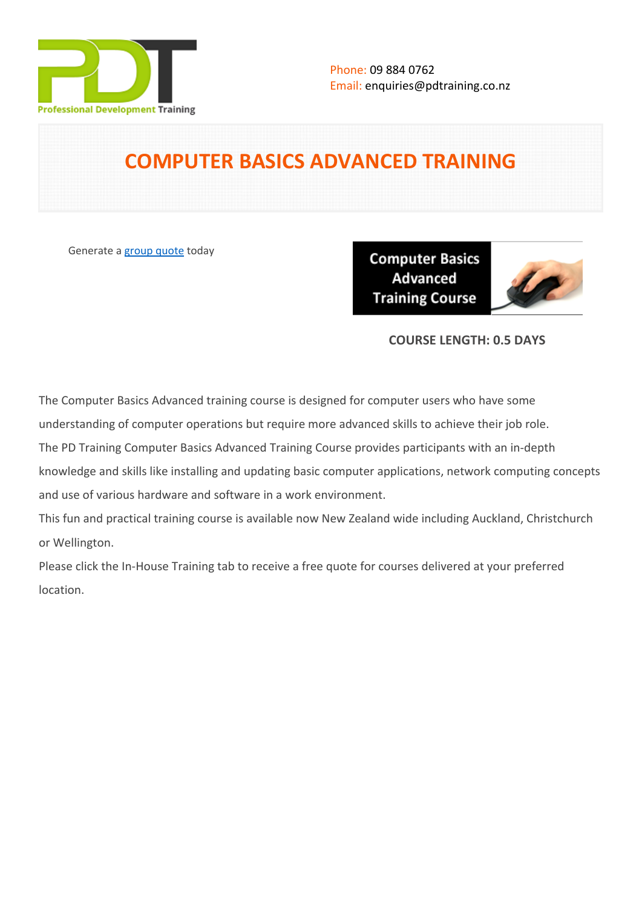

# **COMPUTER BASICS ADVANCED TRAINING**

Generate a [group quote](https://pdtraining.co.nz/inhouse-training-quote?cse=PDU00039) today

**Computer Basics** Advanced **Training Course** 



## **COURSE LENGTH: 0.5 DAYS**

The Computer Basics Advanced training course is designed for computer users who have some

understanding of computer operations but require more advanced skills to achieve their job role.

The PD Training Computer Basics Advanced Training Course provides participants with an in-depth

knowledge and skills like installing and updating basic computer applications, network computing concepts and use of various hardware and software in a work environment.

This fun and practical training course is available now New Zealand wide including Auckland, Christchurch or Wellington.

Please click the In-House Training tab to receive a free quote for courses delivered at your preferred location.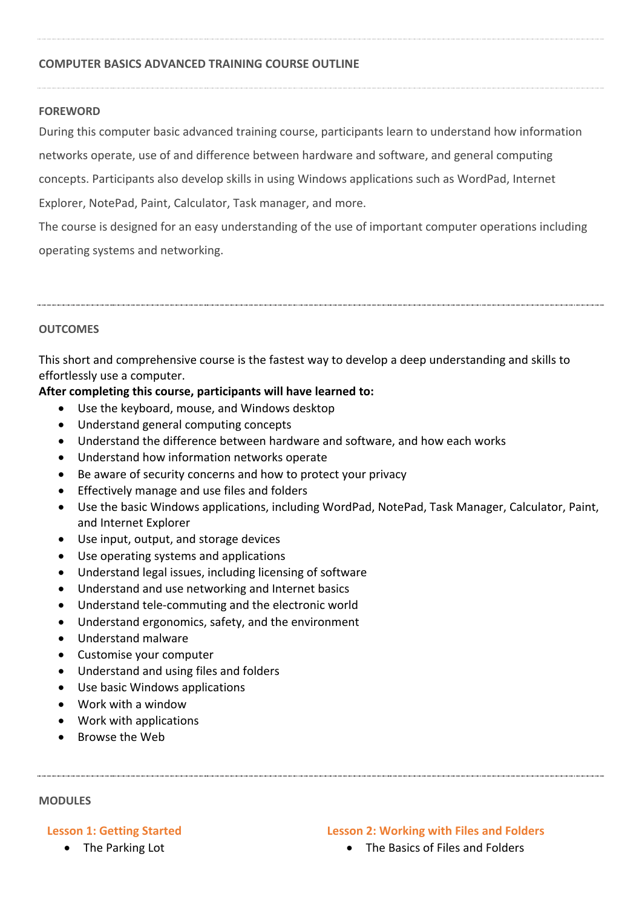#### **COMPUTER BASICS ADVANCED TRAINING COURSE OUTLINE**

#### **FOREWORD**

During this computer basic advanced training course, participants learn to understand how information networks operate, use of and difference between hardware and software, and general computing concepts. Participants also develop skills in using Windows applications such as WordPad, Internet Explorer, NotePad, Paint, Calculator, Task manager, and more.

The course is designed for an easy understanding of the use of important computer operations including operating systems and networking.

#### **OUTCOMES**

This short and comprehensive course is the fastest way to develop a deep understanding and skills to effortlessly use a computer.

#### **After completing this course, participants will have learned to:**

- Use the keyboard, mouse, and Windows desktop
- Understand general computing concepts
- Understand the difference between hardware and software, and how each works
- Understand how information networks operate
- Be aware of security concerns and how to protect your privacy
- **Effectively manage and use files and folders**
- Use the basic Windows applications, including WordPad, NotePad, Task Manager, Calculator, Paint, and Internet Explorer
- Use input, output, and storage devices
- Use operating systems and applications
- Understand legal issues, including licensing of software
- Understand and use networking and Internet basics
- Understand tele-commuting and the electronic world
- Understand ergonomics, safety, and the environment
- Understand malware
- Customise your computer
- Understand and using files and folders
- Use basic Windows applications
- Work with a window
- Work with applications
- Browse the Web

#### **MODULES**

#### **Lesson 1: Getting Started**

The Parking Lot

#### **Lesson 2: Working with Files and Folders**

• The Basics of Files and Folders